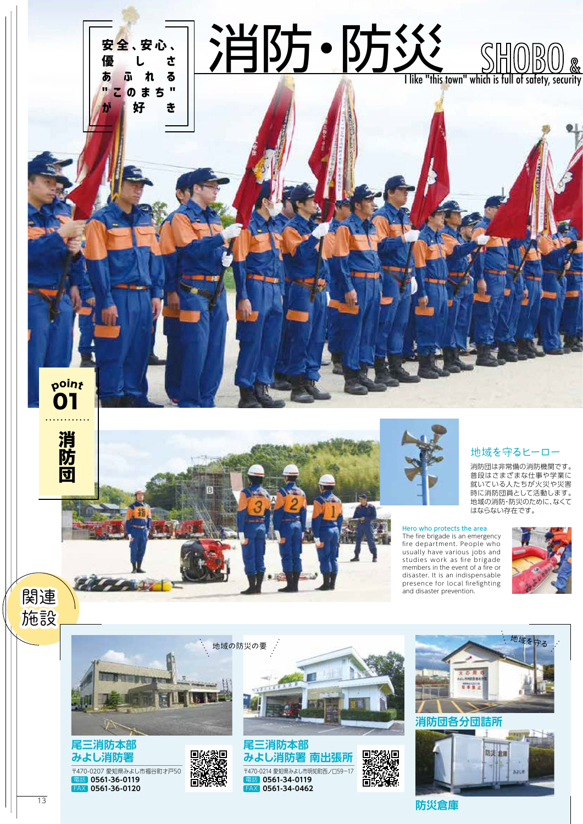



# **尾三消防本部 みよし消防署** |<br>| 〒470-0207 愛知県みよし市福谷町才戸50

電話 **0561-36-0119** FAX **0561-36-0120**





**尾三消防本部 みよし消防署 南出張所** 〒470-0214 愛知県みよし市明知町西ノ口59-17 電話 **0561-34-0119** FAX **0561-34-0462**





防災主席 azu

#### **防災倉庫** 13 14